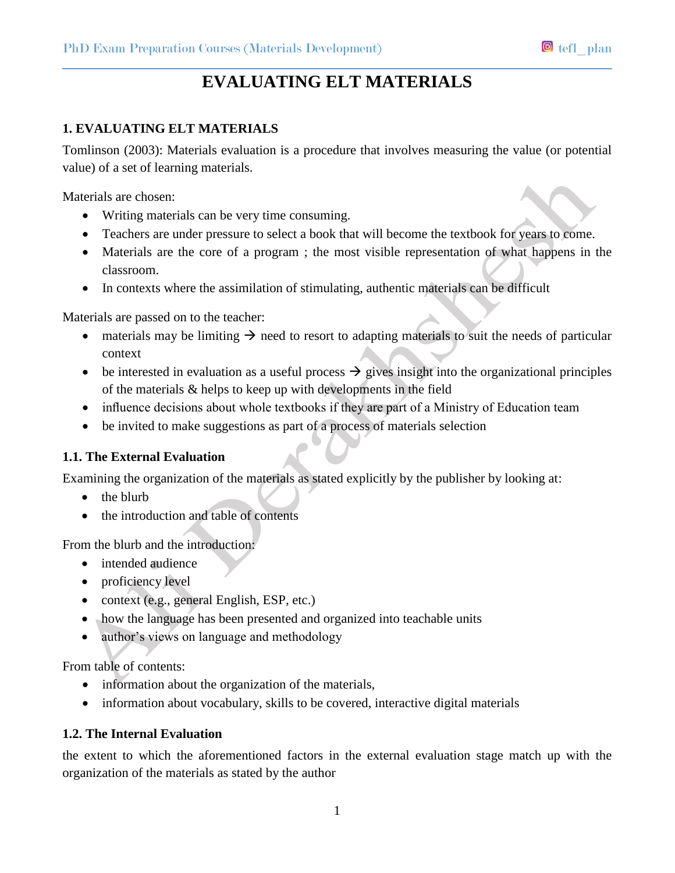# **EVALUATING ELT MATERIALS**

## **1. EVALUATING ELT MATERIALS**

Tomlinson (2003): Materials evaluation is a procedure that involves measuring the value (or potential value) of a set of learning materials.

Materials are chosen:

- Writing materials can be very time consuming.
- Teachers are under pressure to select a book that will become the textbook for years to come.
- Materials are the core of a program ; the most visible representation of what happens in the classroom.
- In contexts where the assimilation of stimulating, authentic materials can be difficult

Materials are passed on to the teacher:

- materials may be limiting  $\rightarrow$  need to resort to adapting materials to suit the needs of particular context
- $\bullet$  be interested in evaluation as a useful process  $\rightarrow$  gives insight into the organizational principles of the materials & helps to keep up with developments in the field
- influence decisions about whole textbooks if they are part of a Ministry of Education team
- be invited to make suggestions as part of a process of materials selection

## **1.1. The External Evaluation**

Examining the organization of the materials as stated explicitly by the publisher by looking at:

- $\bullet$  the blurb
- the introduction and table of contents

From the blurb and the introduction:

- intended audience
- proficiency level
- context (e.g., general English, ESP, etc.)
- how the language has been presented and organized into teachable units
- author's views on language and methodology

From table of contents:

- information about the organization of the materials,
- information about vocabulary, skills to be covered, interactive digital materials

## **1.2. The Internal Evaluation**

the extent to which the aforementioned factors in the external evaluation stage match up with the organization of the materials as stated by the author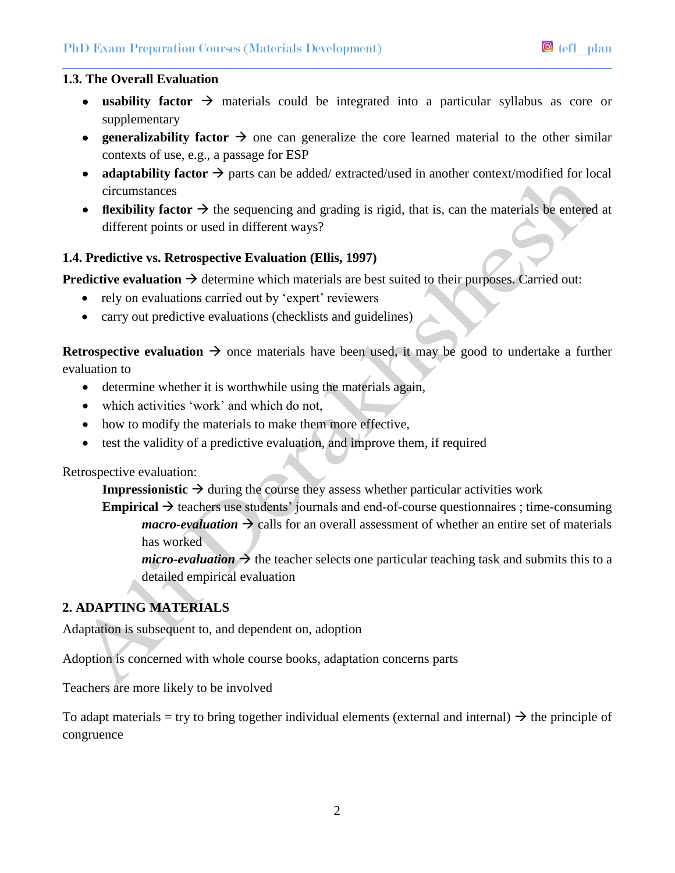#### **1.3. The Overall Evaluation**

- **usability factor**  $\rightarrow$  materials could be integrated into a particular syllabus as core or supplementary
- **e** generalizability factor  $\rightarrow$  one can generalize the core learned material to the other similar contexts of use, e.g., a passage for ESP
- **adaptability factor**  $\rightarrow$  parts can be added/ extracted/used in another context/modified for local circumstances
- **flexibility factor**  $\rightarrow$  the sequencing and grading is rigid, that is, can the materials be entered at different points or used in different ways?

## **1.4. Predictive vs. Retrospective Evaluation (Ellis, 1997)**

**Predictive evaluation**  $\rightarrow$  determine which materials are best suited to their purposes. Carried out:

- rely on evaluations carried out by 'expert' reviewers
- carry out predictive evaluations (checklists and guidelines)

**Retrospective evaluation**  $\rightarrow$  once materials have been used, it may be good to undertake a further evaluation to

- determine whether it is worthwhile using the materials again,
- which activities 'work' and which do not,
- how to modify the materials to make them more effective,
- test the validity of a predictive evaluation, and improve them, if required

## Retrospective evaluation:

**Impressionistic**  $\rightarrow$  during the course they assess whether particular activities work

**Empirical**  $\rightarrow$  teachers use students' journals and end-of-course questionnaires ; time-consuming *macro-evaluation*  $\rightarrow$  calls for an overall assessment of whether an entire set of materials has worked

*micro-evaluation*  $\rightarrow$  the teacher selects one particular teaching task and submits this to a detailed empirical evaluation

# **2. ADAPTING MATERIALS**

Adaptation is subsequent to, and dependent on, adoption

Adoption is concerned with whole course books, adaptation concerns parts

Teachers are more likely to be involved

To adapt materials = try to bring together individual elements (external and internal)  $\rightarrow$  the principle of congruence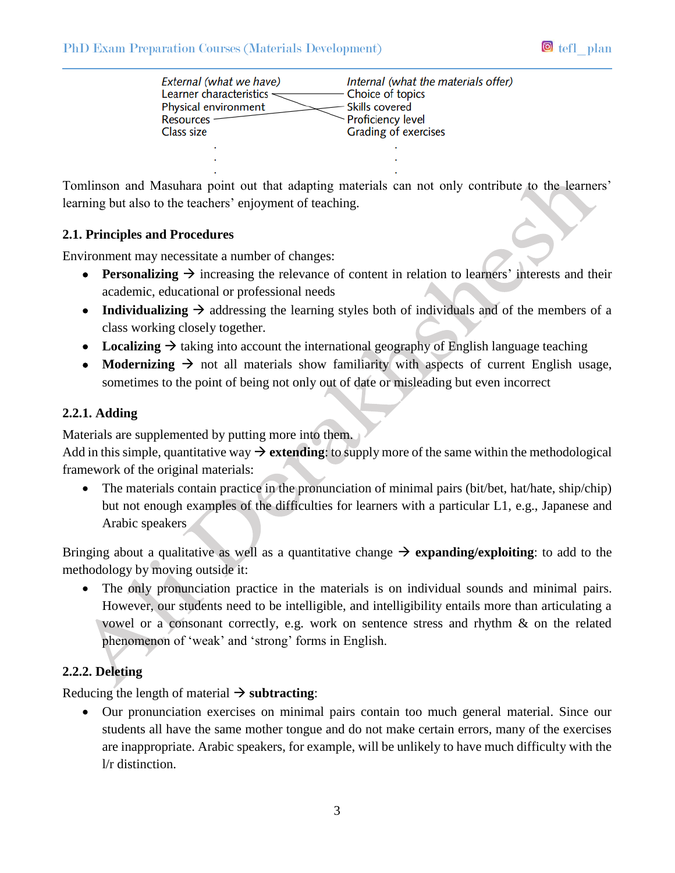| External (what we have)<br>Learner characteristics <<br>Physical environment<br><b>Resources</b><br>Class size | Internal (what the materials offer)<br>Choice of topics<br><b>Skills covered</b><br>- Proficiency level<br>Grading of exercises |
|----------------------------------------------------------------------------------------------------------------|---------------------------------------------------------------------------------------------------------------------------------|
|                                                                                                                |                                                                                                                                 |
|                                                                                                                |                                                                                                                                 |

Tomlinson and Masuhara point out that adapting materials can not only contribute to the learners' learning but also to the teachers' enjoyment of teaching.

#### **2.1. Principles and Procedures**

Environment may necessitate a number of changes:

- **Personalizing**  $\rightarrow$  increasing the relevance of content in relation to learners' interests and their academic, educational or professional needs
- Individualizing  $\rightarrow$  addressing the learning styles both of individuals and of the members of a class working closely together.
- Localizing  $\rightarrow$  taking into account the international geography of English language teaching
- **Modernizing**  $\rightarrow$  not all materials show familiarity with aspects of current English usage, sometimes to the point of being not only out of date or misleading but even incorrect

## **2.2.1. Adding**

Materials are supplemented by putting more into them.

Add in this simple, quantitative way  $\rightarrow$  extending: to supply more of the same within the methodological framework of the original materials:

• The materials contain practice in the pronunciation of minimal pairs (bit/bet, hat/hate, ship/chip) but not enough examples of the difficulties for learners with a particular L1, e.g., Japanese and Arabic speakers

Bringing about a qualitative as well as a quantitative change  $\rightarrow$  **expanding/exploiting**: to add to the methodology by moving outside it:

 The only pronunciation practice in the materials is on individual sounds and minimal pairs. However, our students need to be intelligible, and intelligibility entails more than articulating a vowel or a consonant correctly, e.g. work on sentence stress and rhythm & on the related phenomenon of 'weak' and 'strong' forms in English.

## **2.2.2. Deleting**

Reducing the length of material  $\rightarrow$  **subtracting**:

 Our pronunciation exercises on minimal pairs contain too much general material. Since our students all have the same mother tongue and do not make certain errors, many of the exercises are inappropriate. Arabic speakers, for example, will be unlikely to have much difficulty with the l/r distinction.